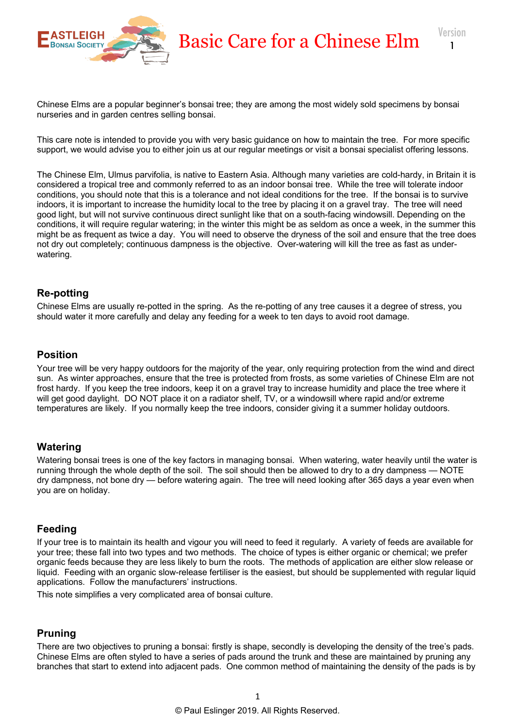

Chinese Elms are a popular beginner's bonsai tree; they are among the most widely sold specimens by bonsai nurseries and in garden centres selling bonsai.

This care note is intended to provide you with very basic guidance on how to maintain the tree. For more specific support, we would advise you to either join us at our regular meetings or visit a bonsai specialist offering lessons.

The Chinese Elm, Ulmus parvifolia, is native to Eastern Asia. Although many varieties are cold-hardy, in Britain it is considered a tropical tree and commonly referred to as an indoor bonsai tree. While the tree will tolerate indoor conditions, you should note that this is a tolerance and not ideal conditions for the tree. If the bonsai is to survive indoors, it is important to increase the humidity local to the tree by placing it on a gravel tray. The tree will need good light, but will not survive continuous direct sunlight like that on a south-facing windowsill. Depending on the conditions, it will require regular watering; in the winter this might be as seldom as once a week, in the summer this might be as frequent as twice a day. You will need to observe the dryness of the soil and ensure that the tree does not dry out completely; continuous dampness is the objective. Over-watering will kill the tree as fast as underwatering.

# **Re-potting**

Chinese Elms are usually re-potted in the spring. As the re-potting of any tree causes it a degree of stress, you should water it more carefully and delay any feeding for a week to ten days to avoid root damage.

### **Position**

Your tree will be very happy outdoors for the majority of the year, only requiring protection from the wind and direct sun. As winter approaches, ensure that the tree is protected from frosts, as some varieties of Chinese Elm are not frost hardy. If you keep the tree indoors, keep it on a gravel tray to increase humidity and place the tree where it will get good daylight. DO NOT place it on a radiator shelf, TV, or a windowsill where rapid and/or extreme temperatures are likely. If you normally keep the tree indoors, consider giving it a summer holiday outdoors.

# **Watering**

Watering bonsai trees is one of the key factors in managing bonsai. When watering, water heavily until the water is running through the whole depth of the soil. The soil should then be allowed to dry to a dry dampness — NOTE dry dampness, not bone dry — before watering again. The tree will need looking after 365 days a year even when you are on holiday.

# **Feeding**

If your tree is to maintain its health and vigour you will need to feed it regularly. A variety of feeds are available for your tree; these fall into two types and two methods. The choice of types is either organic or chemical; we prefer organic feeds because they are less likely to burn the roots. The methods of application are either slow release or liquid. Feeding with an organic slow-release fertiliser is the easiest, but should be supplemented with regular liquid applications. Follow the manufacturers' instructions.

This note simplifies a very complicated area of bonsai culture.

# **Pruning**

There are two objectives to pruning a bonsai: firstly is shape, secondly is developing the density of the tree's pads. Chinese Elms are often styled to have a series of pads around the trunk and these are maintained by pruning any branches that start to extend into adjacent pads. One common method of maintaining the density of the pads is by